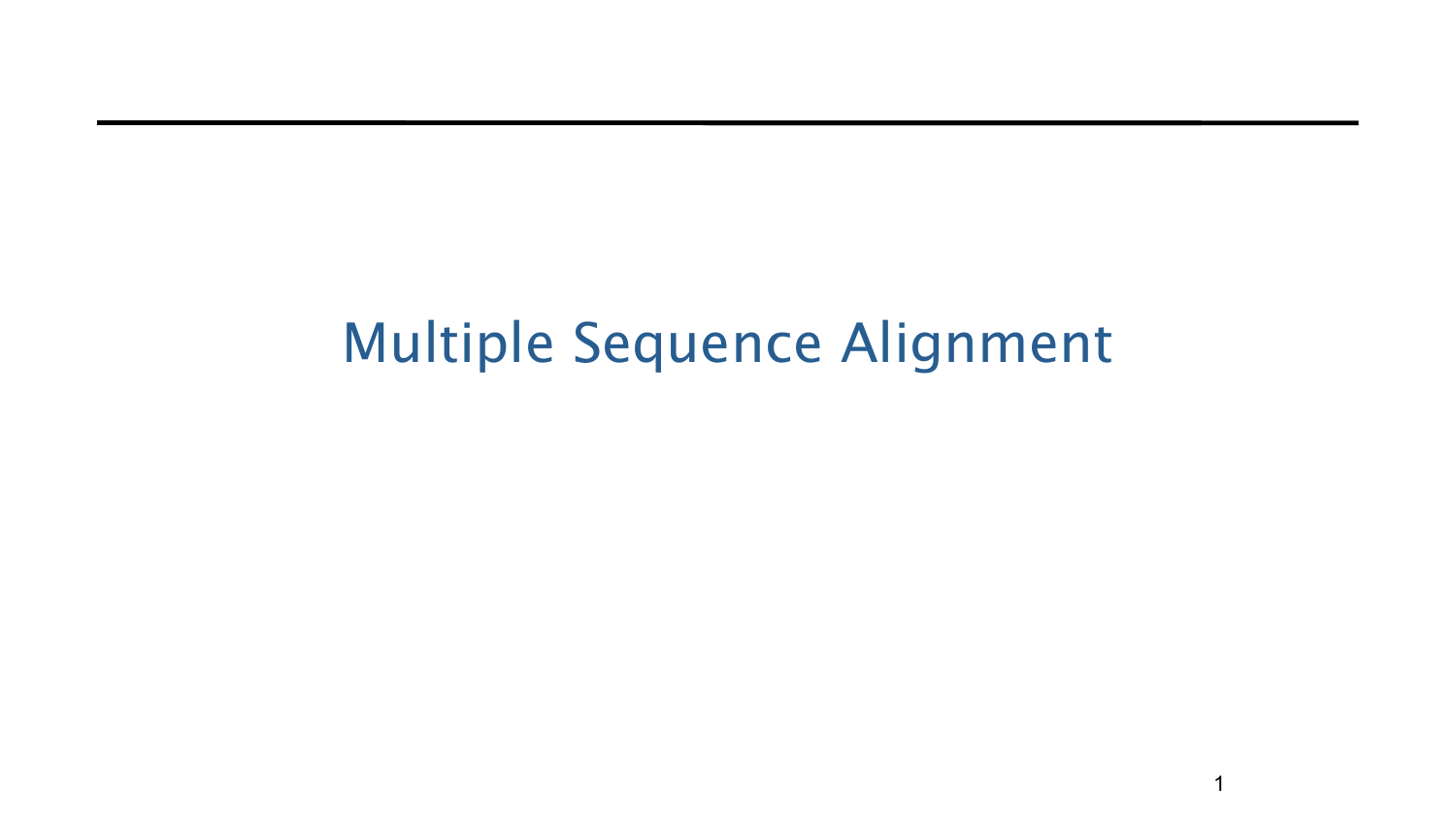### Multiple Sequence Alignment

1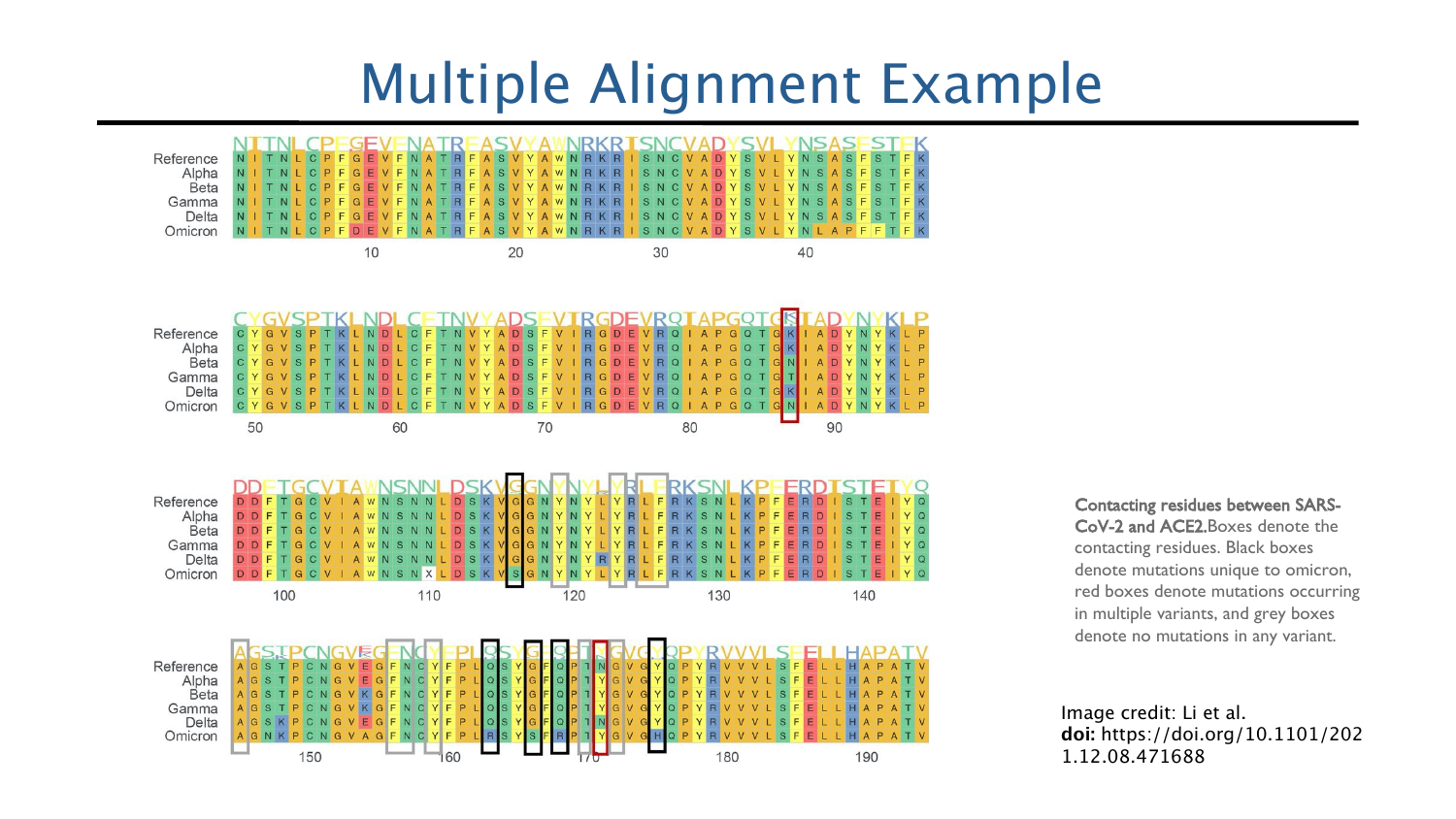#### Multiple Alignment Example



Contacting residues between SARS-CoV-2 and ACE2.Boxes denote the contacting residues. Black boxes denote mutations unique to omicron, red boxes denote mutations occurring in multiple variants, and grey boxes denote no mutations in any variant.

Image credit: Li et al. **doi:** https://doi.org/10.1101/202 1.12.08.471688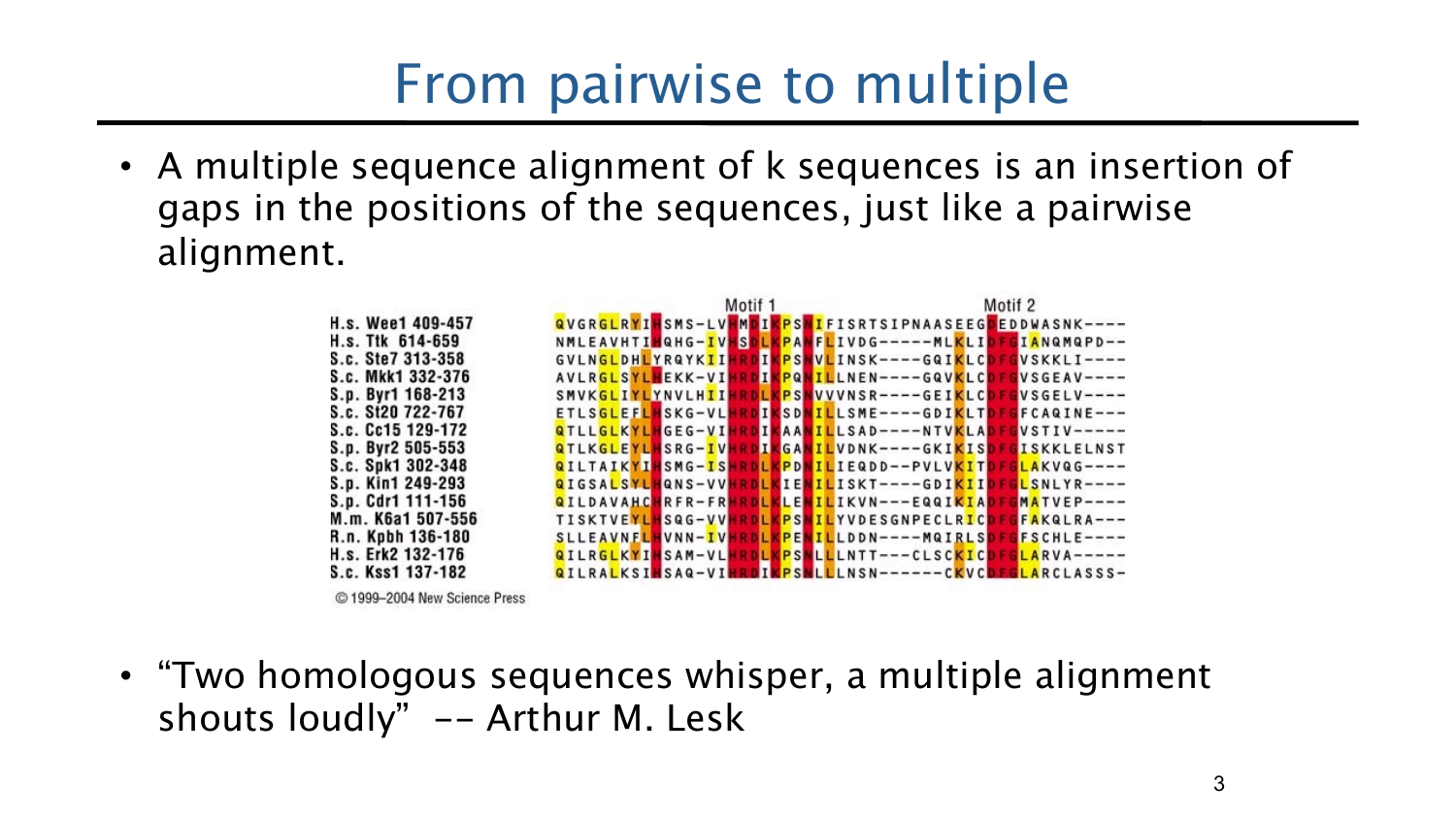### From pairwise to multiple

• A multiple sequence alignment of k sequences is an insertion of gaps in the positions of the sequences, just like a pairwise alignment.

|                 | Motif 1                                               | Motif 2            |
|-----------------|-------------------------------------------------------|--------------------|
| s. Wee1 409-457 | QVGRGLRYIHSMS-LVHMDIKPSNIFISRTSIPNAASEEGDEDDWASNK---- |                    |
| s. Ttk 614-659  | NMLEAVHTIMQHG-IVHSDLKPANFLIVDG-----MLKLIDFGIANQMQPD-- |                    |
| c. Ste7 313-358 | GVLNGLDHLYRQYKIIHRDIKPSNVLINSK----GQIKLCDFGVSKKLI---- |                    |
| c. Mkk1 332-376 | AVLRGLSYLHEKK-VIHRDIKPQNILLNEN----GQVKLCDFGVSGEAV---- |                    |
| p. Byr1 168-213 | SMVKGLIYLYNVLHIIHRDLKPSNVVVNSR----GEIKLCDFGVSGELV---- |                    |
| c. St20 722-767 | ETLSGLEFLHSKG-VLHRDIKSDNILLSME----GDIKLTDFGFCAQINE--- |                    |
| c. Cc15 129-172 | QTLLGLKYLHGEG-VIHRDIKAANILLSAD----NTVKLAD             | $VSTIV---$         |
| p. Byr2 505-553 | QTLKGLEYLHSRG-IVHRDIKGANILVDNK----GKIKISD             | <b>GISKKLELNST</b> |
| c. Spk1 302-348 | QILTAIKYIHSMG-ISHRDLKPDNILIEQDD--PVLVKITDF            | $GLAKVQG---$       |
| p. Kin1 249-293 | QIGSALSYLHQNS-VVHRDLKIENILISKT----GDIKIID             | GLSNLYR----        |
| p. Cdr1 111-156 | QILDAVAHCHRFR-FRHRDLKLENILIKVN---EQQIKIAD             | $MATVEP---$        |
| m. K6a1 507-556 | TISKTVEYLHSQG-VVHRDLKPSNILYVDESGNPECLRICDFGFAKQLRA--- |                    |
| n. Kpbh 136-180 | SLLEAVNFLHVNN-IVHRDLKPENILLDDN----MQIRLSDFGFSCHLE---- |                    |
| s. Erk2 132-176 | QILRGLKYIHSAM-VLHRDLKPSNLLLNTT---CLSCKICD             | $GLARVA---$        |
| c. Kss1 137-182 | QILRALKSINSAQ-VIHRDIKPSNLLLNSN------CKVCDFGLARCLASSS- |                    |

© 1999-2004 New Science Press

R.

• "Two homologous sequences whisper, a multiple alignment shouts loudly" -- Arthur M. Lesk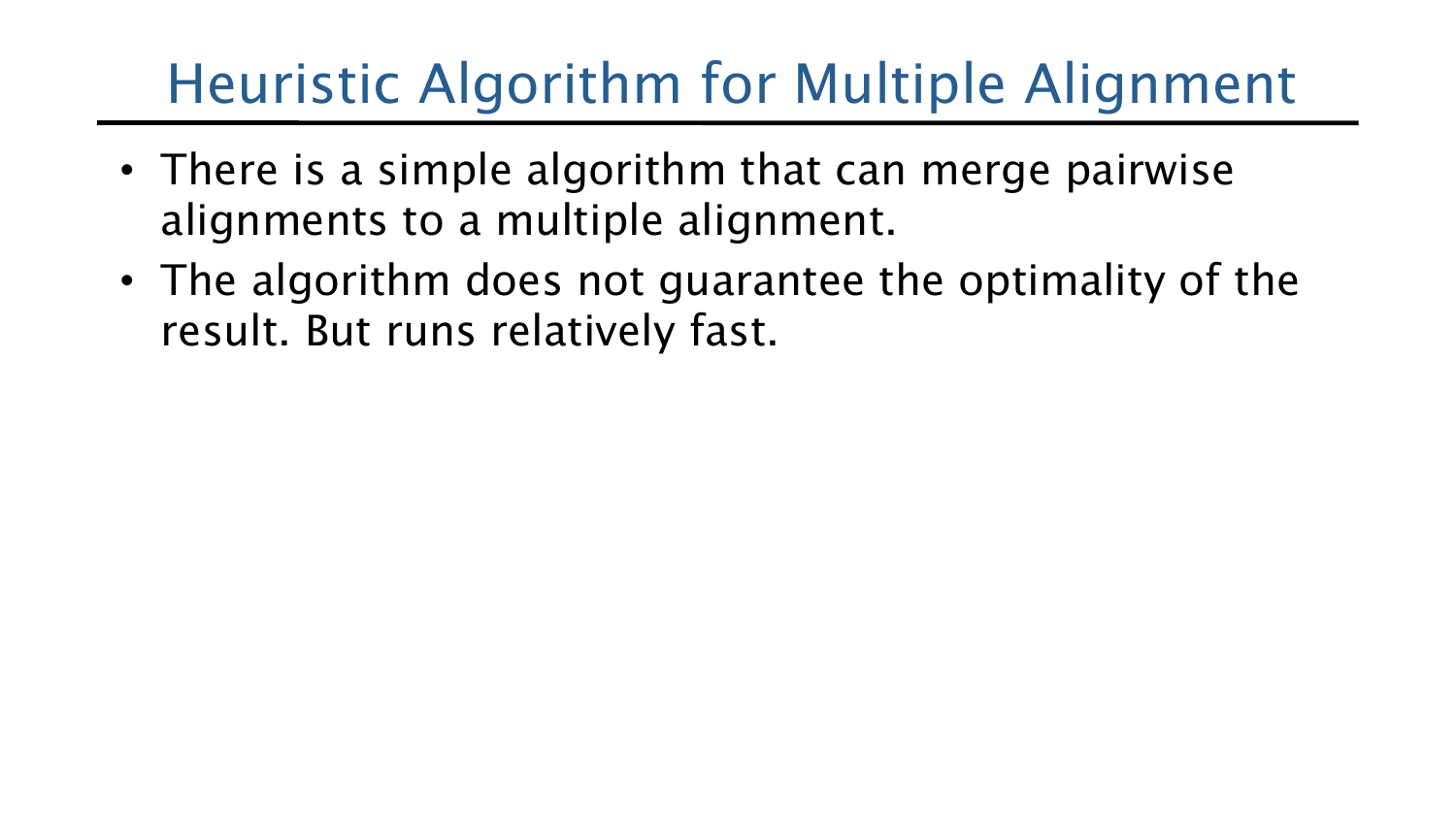# Heuristic Algorithm for Multiple Alignment

- There is a simple algorithm that can merge pairwise alignments to a multiple alignment.
- The algorithm does not guarantee the optimality of the result. But runs relatively fast.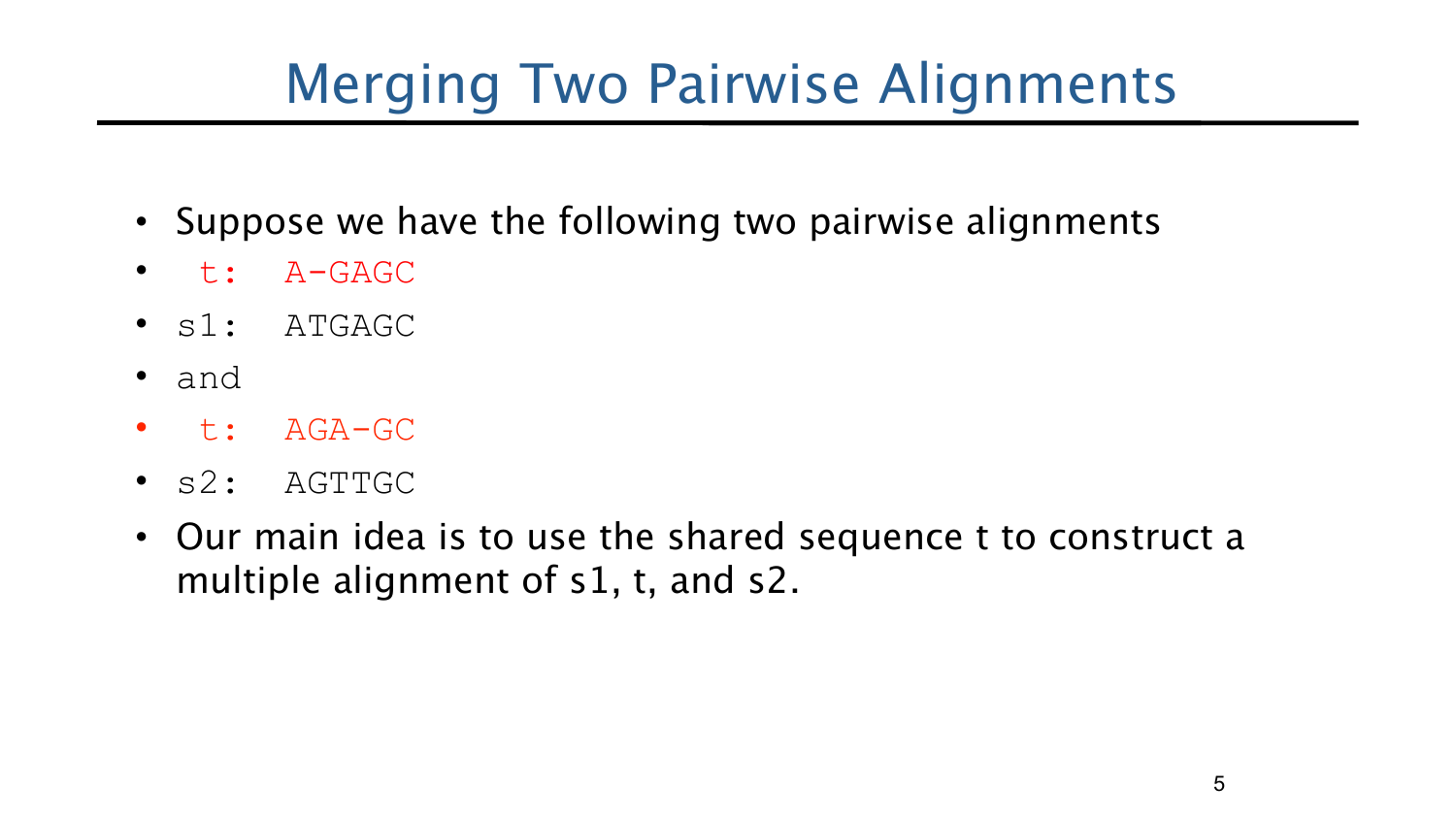# Merging Two Pairwise Alignments

- Suppose we have the following two pairwise alignments
- t: A-GAGC
- s1: ATGAGC
- and
- t: AGA-GC
- s2: AGTTGC
- Our main idea is to use the shared sequence t to construct a multiple alignment of s1, t, and s2.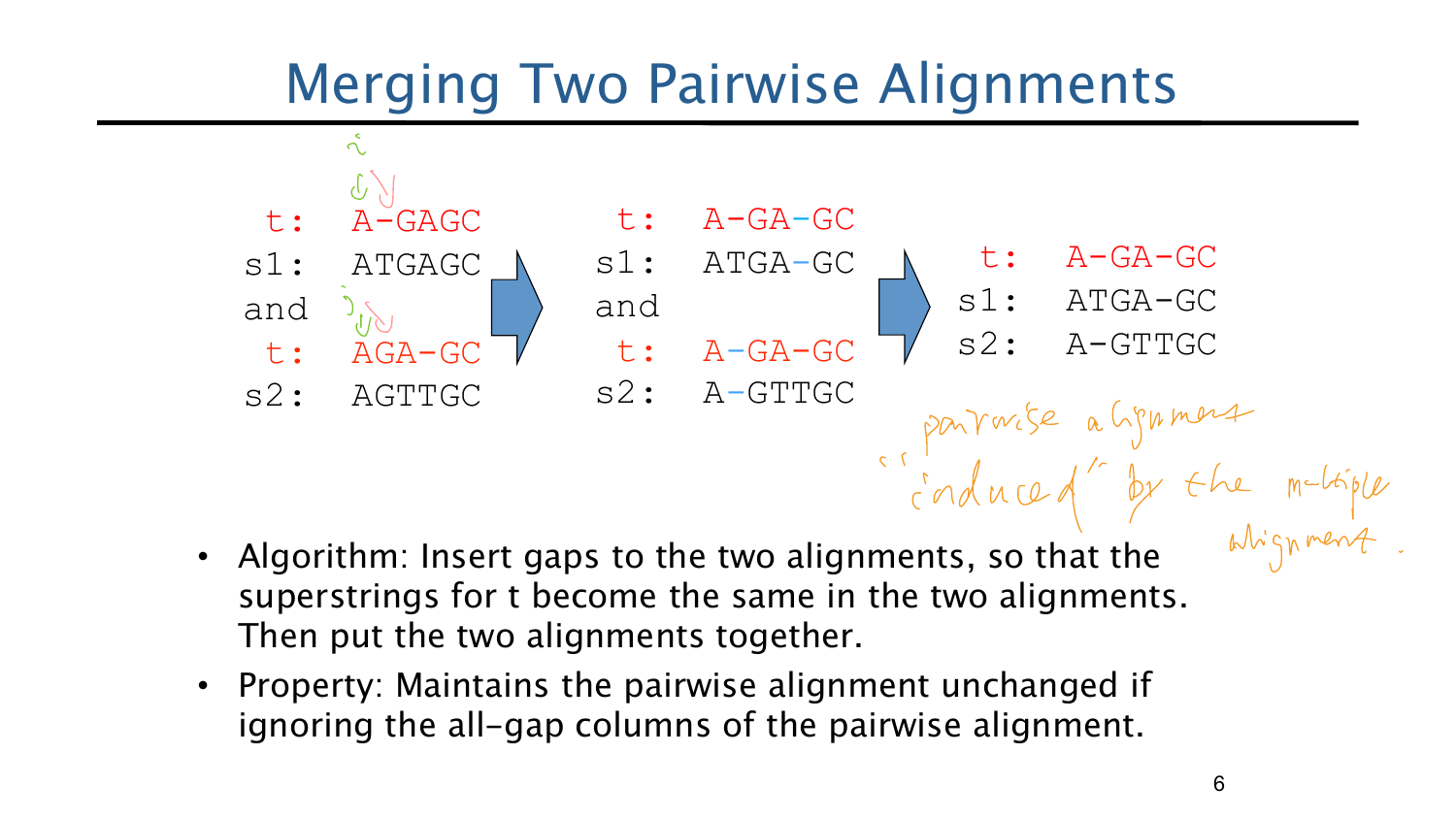## Merging Two Pairwise Alignments



- Algorithm: Insert gaps to the two alignments, so that the superstrings for t become the same in the two alignments. Then put the two alignments together.
- Property: Maintains the pairwise alignment unchanged if ignoring the all-gap columns of the pairwise alignment.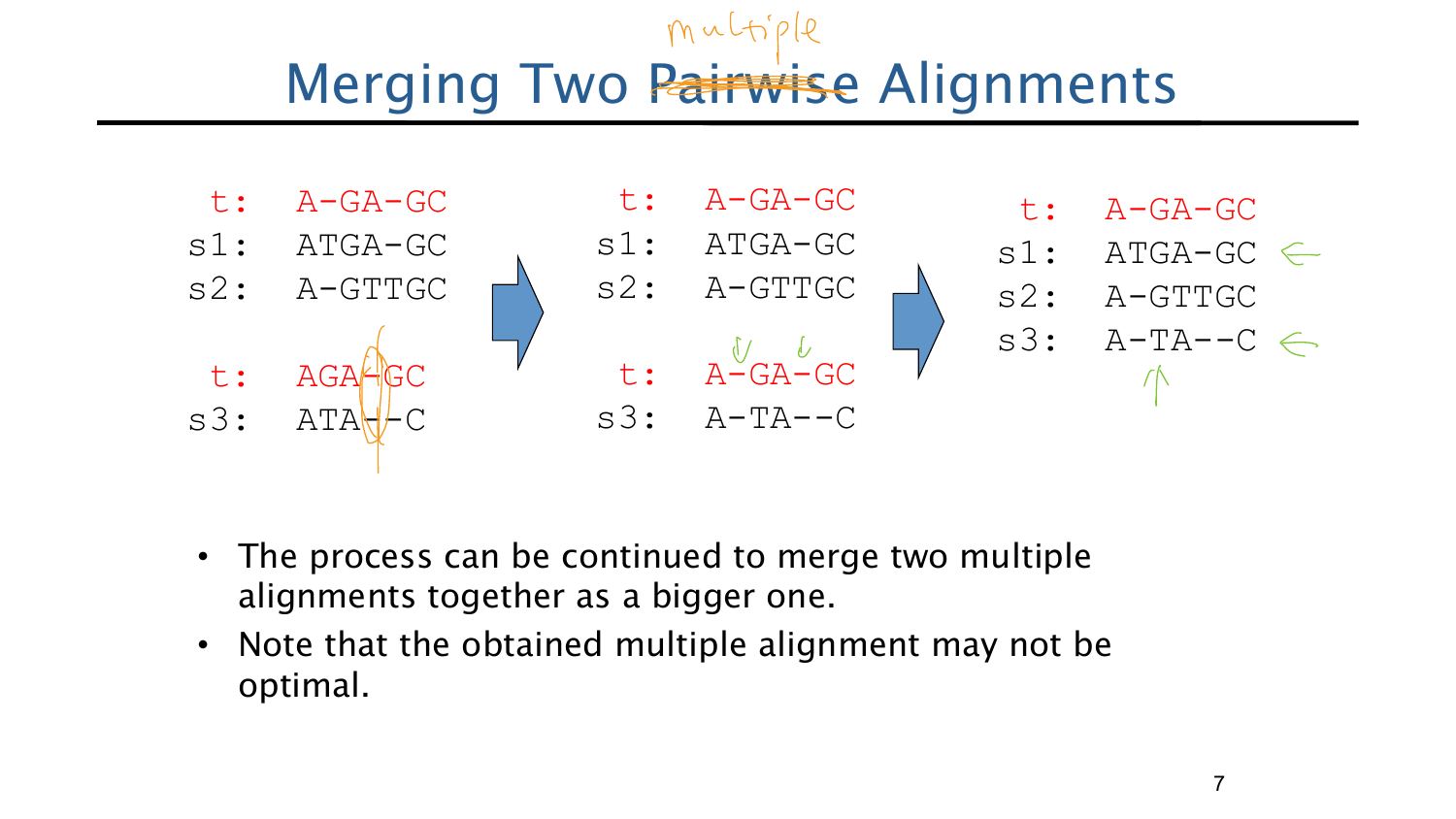# **Merging Two Pairwise Alignments**



- The process can be continued to merge two multiple alignments together as a bigger one.
- Note that the obtained multiple alignment may not be optimal.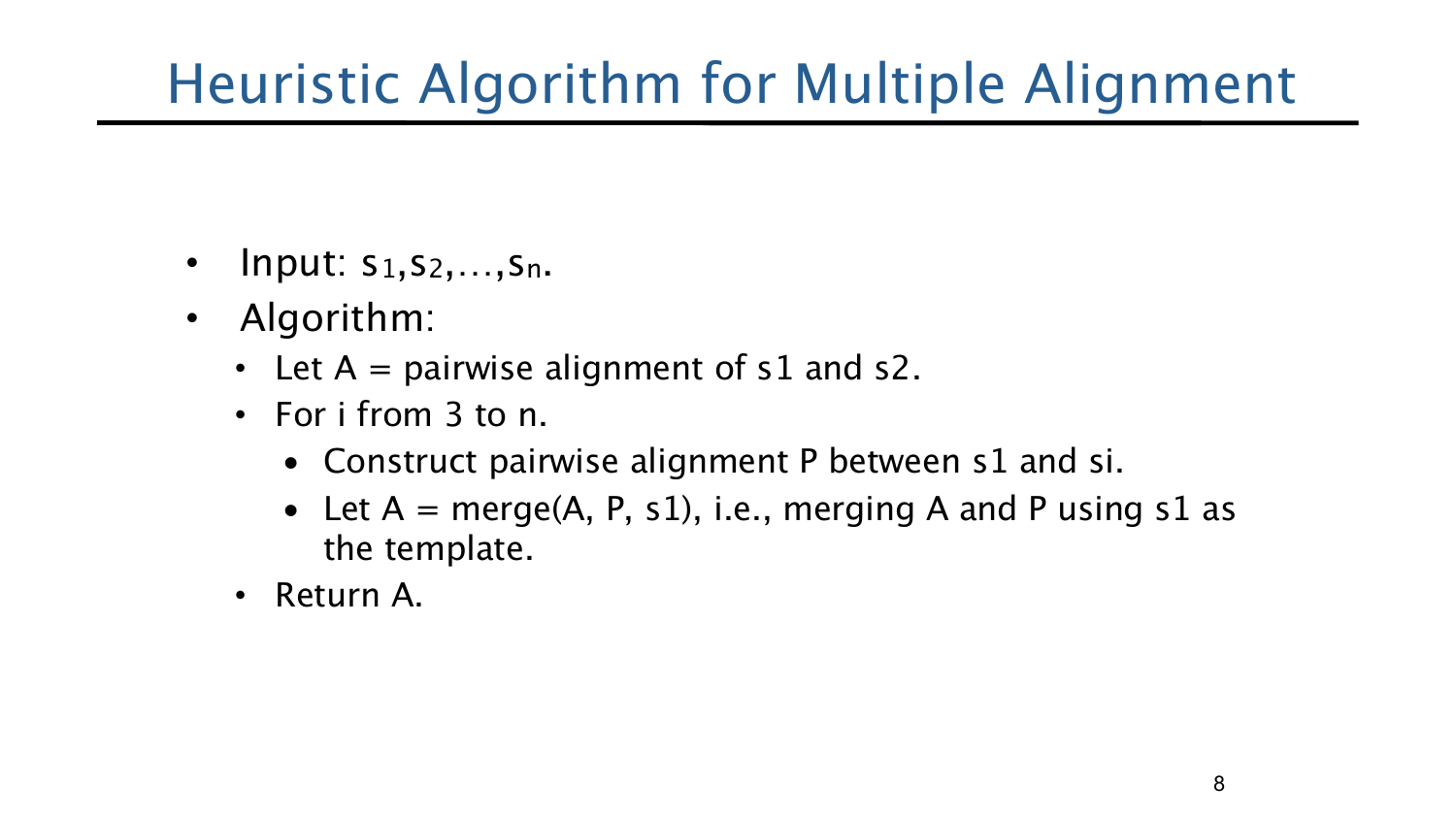# Heuristic Algorithm for Multiple Alignment

- Input:  $s_1, s_2, \ldots, s_n$ .
- Algorithm:
	- Let  $A =$  pairwise alignment of s1 and s2.
	- For i from 3 to n.
		- Construct pairwise alignment P between s1 and si.
		- Let  $A = merge(A, P, s1)$ , i.e., merging A and P using s1 as the template.
	- Return A.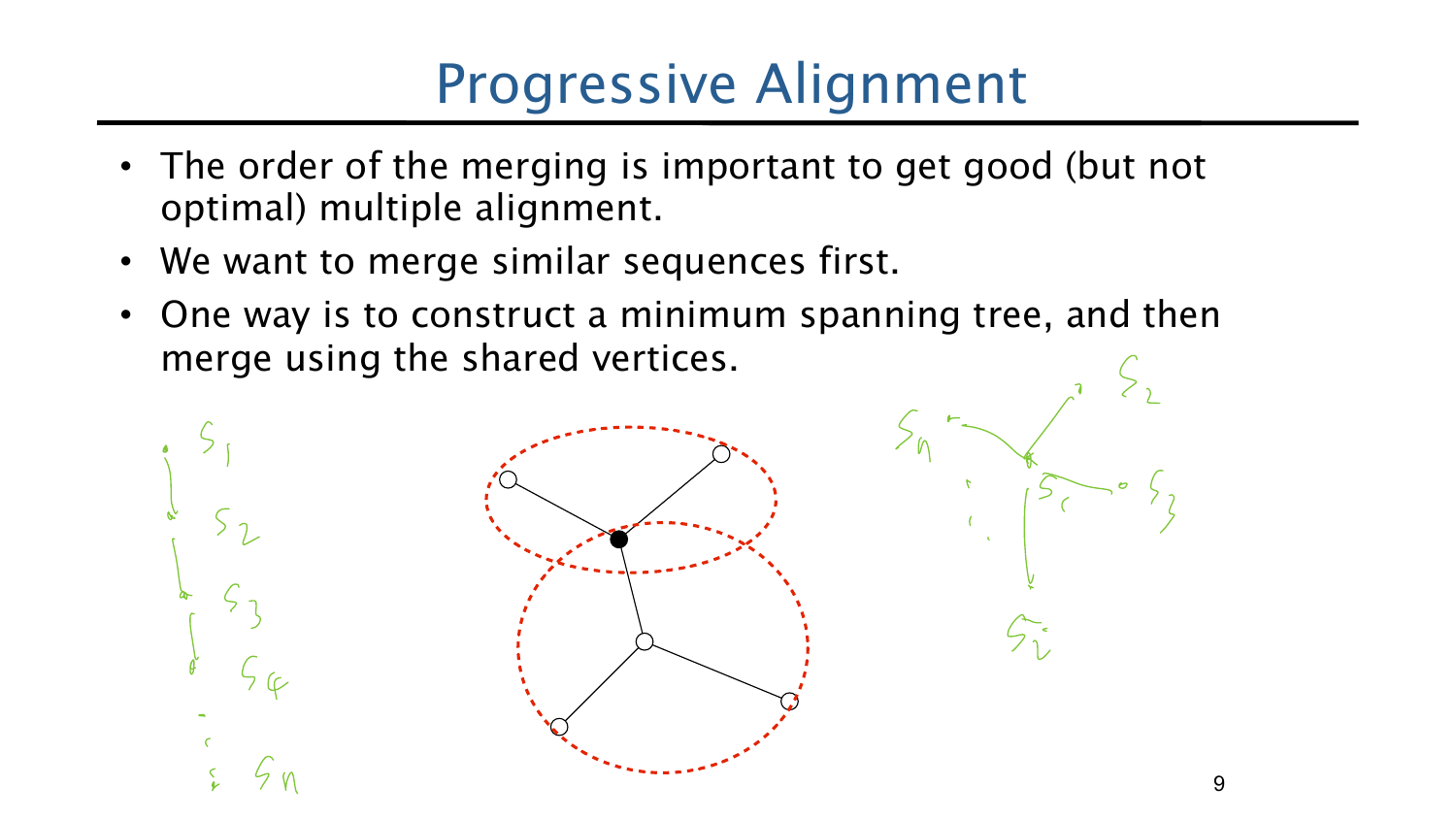### Progressive Alignment

- The order of the merging is important to get good (but not optimal) multiple alignment.
- We want to merge similar sequences first.
- One way is to construct a minimum spanning tree, and then merge using the shared vertices.



9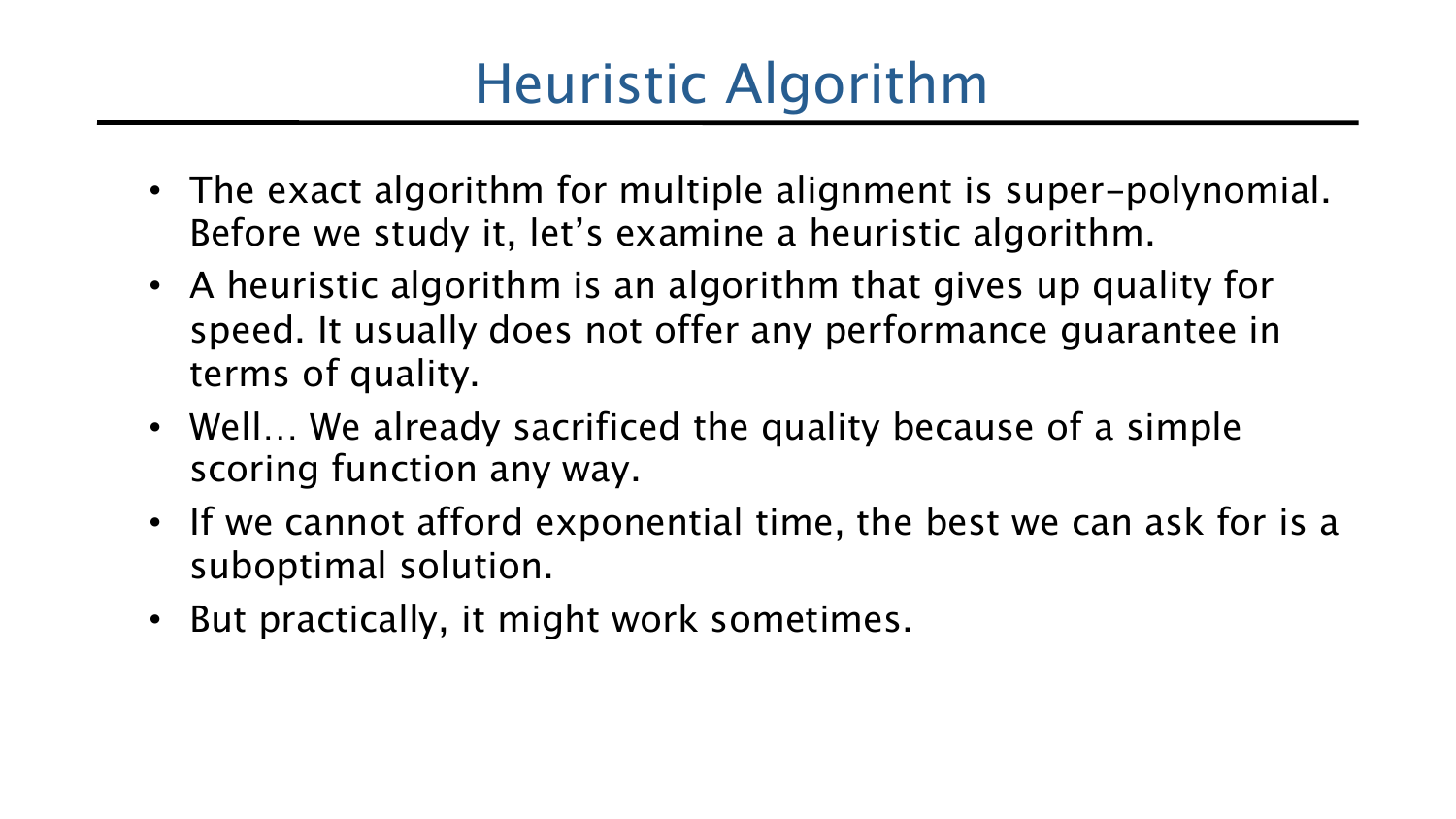## Heuristic Algorithm

- The exact algorithm for multiple alignment is super-polynomial. Before we study it, let's examine a heuristic algorithm.
- A heuristic algorithm is an algorithm that gives up quality for speed. It usually does not offer any performance guarantee in terms of quality.
- Well... We already sacrificed the quality because of a simple scoring function any way.
- If we cannot afford exponential time, the best we can ask for is a suboptimal solution.
- But practically, it might work sometimes.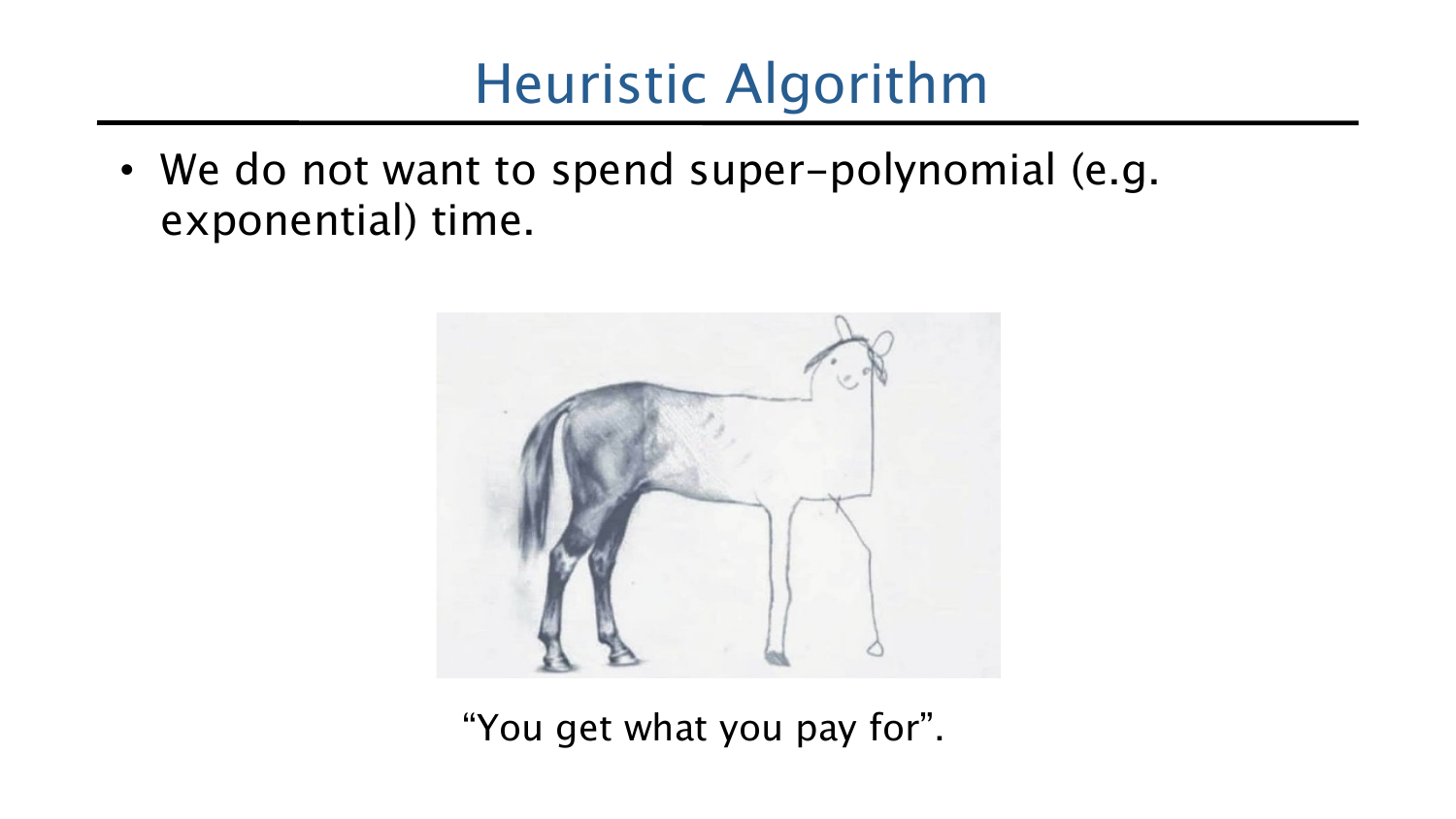### Heuristic Algorithm

• We do not want to spend super-polynomial (e.g. exponential) time.



"You get what you pay for".